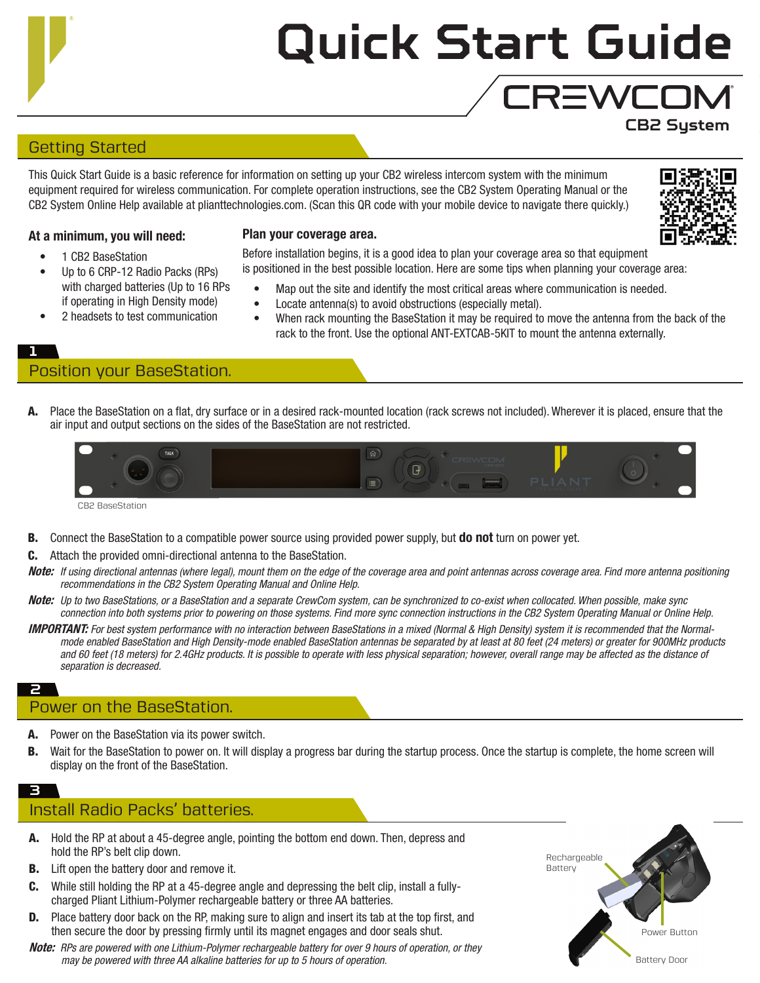# **Quick Start Guide**

## Getting Started

This Quick Start Guide is a basic reference for information on setting up your CB2 wireless intercom system with the minimum equipment required for wireless communication. For complete operation instructions, see the CB2 System Operating Manual or the CB2 System Online Help available at plianttechnologies.com. (Scan this QR code with your mobile device to navigate there quickly.)



**CB2 System**

**CREWCOM** 

#### At a minimum, you will need:

- 1 CB2 BaseStation
- Up to 6 CRP-12 Radio Packs (RPs) with charged batteries (Up to 16 RPs if operating in High Density mode)
- 2 headsets to test communication
- Plan your coverage area.

Before installation begins, it is a good idea to plan your coverage area so that equipment is positioned in the best possible location. Here are some tips when planning your coverage area:

- Map out the site and identify the most critical areas where communication is needed.
- Locate antenna(s) to avoid obstructions (especially metal).
- When rack mounting the BaseStation it may be required to move the antenna from the back of the rack to the front. Use the optional ANT-EXTCAB-5KIT to mount the antenna externally.

#### **1**

# Position your BaseStation.

A. Place the BaseStation on a flat, dry surface or in a desired rack-mounted location (rack screws not included). Wherever it is placed, ensure that the air input and output sections on the sides of the BaseStation are not restricted.



- B. Connect the BaseStation to a compatible power source using provided power supply, but do not turn on power yet.
- C. Attach the provided omni-directional antenna to the BaseStation.
- Note: *If using directional antennas (where legal), mount them on the edge of the coverage area and point antennas across coverage area. Find more antenna positioning recommendations in the CB2 System Operating Manual and Online Help.*
- Note: *Up to two BaseStations, or a BaseStation and a separate CrewCom system, can be synchronized to co-exist when collocated. When possible, make sync connection into both systems prior to powering on those systems. Find more sync connection instructions in the CB2 System Operating Manual or Online Help.*
- IMPORTANT: *For best system performance with no interaction between BaseStations in a mixed (Normal & High Density) system it is recommended that the Normalmode enabled BaseStation and High Density-mode enabled BaseStation antennas be separated by at least at 80 feet (24 meters) or greater for 900MHz products and 60 feet (18 meters) for 2.4GHz products. It is possible to operate with less physical separation; however, overall range may be affected as the distance of separation is decreased.*

# Power on the BaseStation.

- **A.** Power on the BaseStation via its power switch.
- B. Wait for the BaseStation to power on. It will display a progress bar during the startup process. Once the startup is complete, the home screen will display on the front of the BaseStation.

#### **3** Install Radio Packs' batteries.

**2**

- A. Hold the RP at about a 45-degree angle, pointing the bottom end down. Then, depress and hold the RP's belt clip down.
- **B.** Lift open the battery door and remove it.
- C. While still holding the RP at a 45-degree angle and depressing the belt clip, install a fullycharged Pliant Lithium-Polymer rechargeable battery or three AA batteries.
- **D.** Place battery door back on the RP, making sure to align and insert its tab at the top first, and then secure the door by pressing firmly until its magnet engages and door seals shut.
- Note: *RPs are powered with one Lithium-Polymer rechargeable battery for over 9 hours of operation, or they may be powered with three AA alkaline batteries for up to 5 hours of operation.*